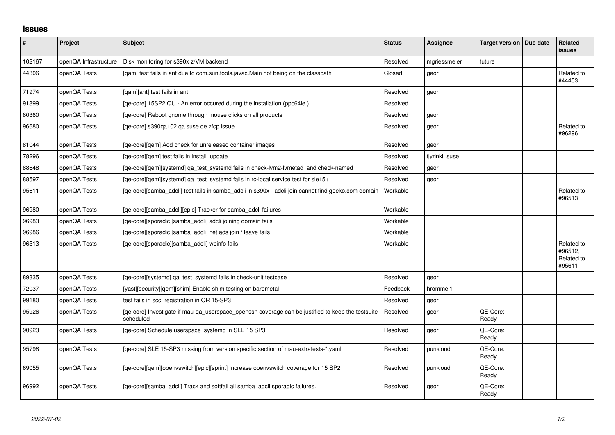## **Issues**

| $\vert$ # | Project               | <b>Subject</b>                                                                                                 | <b>Status</b> | Assignee      | Target version   Due date | Related<br>issues                             |
|-----------|-----------------------|----------------------------------------------------------------------------------------------------------------|---------------|---------------|---------------------------|-----------------------------------------------|
| 102167    | openQA Infrastructure | Disk monitoring for s390x z/VM backend                                                                         | Resolved      | mgriessmeier  | future                    |                                               |
| 44306     | openQA Tests          | [qam] test fails in ant due to com.sun.tools.javac.Main not being on the classpath                             | Closed        | geor          |                           | Related to<br>#44453                          |
| 71974     | openQA Tests          | [gam][ant] test fails in ant                                                                                   | Resolved      | geor          |                           |                                               |
| 91899     | openQA Tests          | [qe-core] 15SP2 QU - An error occured during the installation (ppc64le)                                        | Resolved      |               |                           |                                               |
| 80360     | openQA Tests          | [qe-core] Reboot gnome through mouse clicks on all products                                                    | Resolved      | geor          |                           |                                               |
| 96680     | openQA Tests          | [qe-core] s390qa102.qa.suse.de zfcp issue                                                                      | Resolved      | geor          |                           | Related to<br>#96296                          |
| 81044     | openQA Tests          | [ge-core][gem] Add check for unreleased container images                                                       | Resolved      | geor          |                           |                                               |
| 78296     | openQA Tests          | [qe-core][qem] test fails in install_update                                                                    | Resolved      | tjyrinki_suse |                           |                                               |
| 88648     | openQA Tests          | [qe-core][qem][systemd] qa_test_systemd fails in check-lvm2-lvmetad and check-named                            | Resolved      | geor          |                           |                                               |
| 88597     | openQA Tests          | [qe-core][qem][systemd] qa_test_systemd fails in rc-local service test for sle15+                              | Resolved      | geor          |                           |                                               |
| 95611     | openQA Tests          | [qe-core][samba_adcli] test fails in samba_adcli in s390x - adcli join cannot find geeko.com domain            | Workable      |               |                           | Related to<br>#96513                          |
| 96980     | openQA Tests          | [qe-core][samba_adcli][epic] Tracker for samba_adcli failures                                                  | Workable      |               |                           |                                               |
| 96983     | openQA Tests          | [ge-core][sporadic][samba adcli] adcli joining domain fails                                                    | Workable      |               |                           |                                               |
| 96986     | openQA Tests          | [qe-core][sporadic][samba_adcli] net ads join / leave fails                                                    | Workable      |               |                           |                                               |
| 96513     | openQA Tests          | [qe-core][sporadic][samba_adcli] wbinfo fails                                                                  | Workable      |               |                           | Related to<br>#96512,<br>Related to<br>#95611 |
| 89335     | openQA Tests          | [ge-core][systemd] ga test systemd fails in check-unit testcase                                                | Resolved      | geor          |                           |                                               |
| 72037     | openQA Tests          | [yast][security][qem][shim] Enable shim testing on baremetal                                                   | Feedback      | hrommel1      |                           |                                               |
| 99180     | openQA Tests          | test fails in scc_registration in QR 15-SP3                                                                    | Resolved      | geor          |                           |                                               |
| 95926     | openQA Tests          | [qe-core] Investigate if mau-qa_userspace_openssh coverage can be justified to keep the testsuite<br>scheduled | Resolved      | geor          | QE-Core:<br>Ready         |                                               |
| 90923     | openQA Tests          | [qe-core] Schedule userspace_systemd in SLE 15 SP3                                                             | Resolved      | geor          | QE-Core:<br>Ready         |                                               |
| 95798     | openQA Tests          | [qe-core] SLE 15-SP3 missing from version specific section of mau-extratests-*.yaml                            | Resolved      | punkioudi     | QE-Core:<br>Ready         |                                               |
| 69055     | openQA Tests          | [qe-core][qem][openvswitch][epic][sprint] Increase openvswitch coverage for 15 SP2                             | Resolved      | punkioudi     | QE-Core:<br>Ready         |                                               |
| 96992     | openQA Tests          | [qe-core][samba_adcli] Track and softfail all samba_adcli sporadic failures.                                   | Resolved      | geor          | QE-Core:<br>Ready         |                                               |